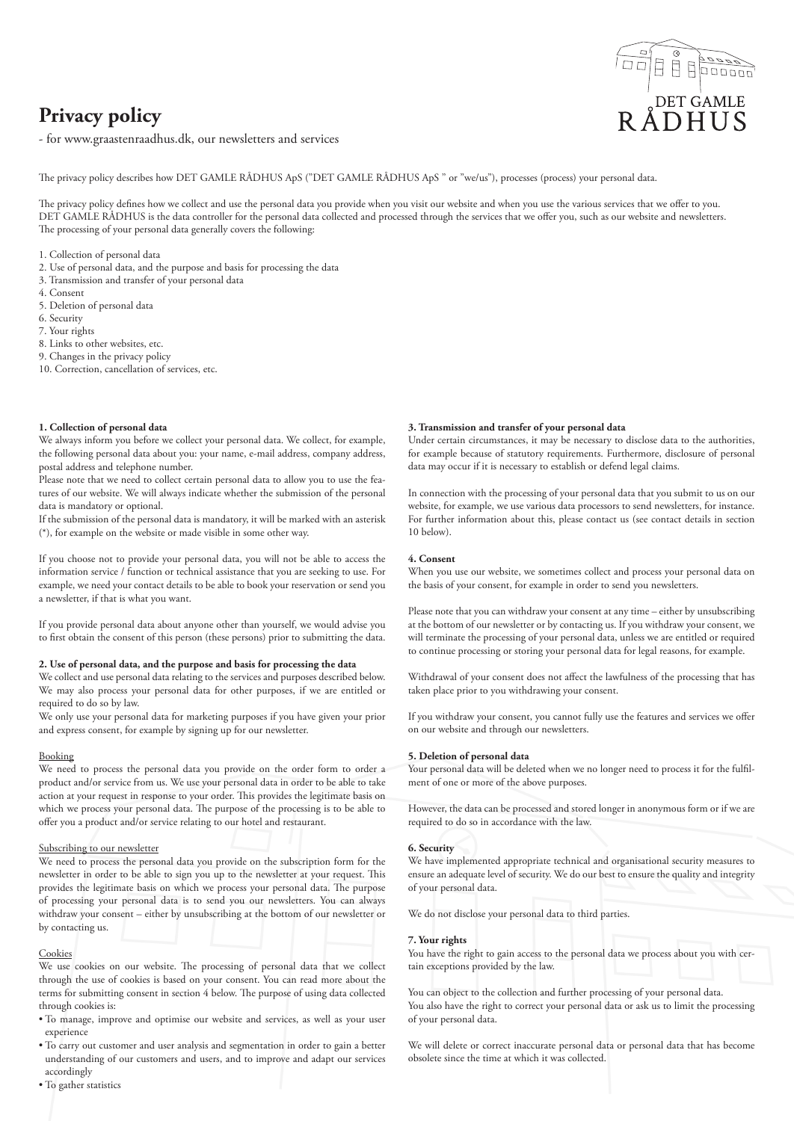# **Privacy policy**

**Company September 1979** DET GAMLE

- for www.graastenraadhus.dk, our newsletters and services

The privacy policy describes how DET GAMLE RÅDHUS ApS ("DET GAMLE RÅDHUS ApS " or "we/us"), processes (process) your personal data.

The privacy policy defines how we collect and use the personal data you provide when you visit our website and when you use the various services that we offer to you. DET GAMLE RÅDHUS is the data controller for the personal data collected and processed through the services that we offer you, such as our website and newsletters. The processing of your personal data generally covers the following:

1. Collection of personal data

- 2. Use of personal data, and the purpose and basis for processing the data
- 3. Transmission and transfer of your personal data
- 4. Consent
- 5. Deletion of personal data
- 6. Security
- 7. Your rights
- 8. Links to other websites, etc.
- 9. Changes in the privacy policy
- 10. Correction, cancellation of services, etc.

# **1. Collection of personal data**

We always inform you before we collect your personal data. We collect, for example, the following personal data about you: your name, e-mail address, company address, postal address and telephone number.

Please note that we need to collect certain personal data to allow you to use the features of our website. We will always indicate whether the submission of the personal data is mandatory or optional.

If the submission of the personal data is mandatory, it will be marked with an asterisk (\*), for example on the website or made visible in some other way.

If you choose not to provide your personal data, you will not be able to access the information service / function or technical assistance that you are seeking to use. For example, we need your contact details to be able to book your reservation or send you a newsletter, if that is what you want.

If you provide personal data about anyone other than yourself, we would advise you to first obtain the consent of this person (these persons) prior to submitting the data.

# **2. Use of personal data, and the purpose and basis for processing the data**

We collect and use personal data relating to the services and purposes described below. We may also process your personal data for other purposes, if we are entitled or required to do so by law.

We only use your personal data for marketing purposes if you have given your prior and express consent, for example by signing up for our newsletter.

#### Booking

We need to process the personal data you provide on the order form to order a product and/or service from us. We use your personal data in order to be able to take action at your request in response to your order. This provides the legitimate basis on which we process your personal data. The purpose of the processing is to be able to offer you a product and/or service relating to our hotel and restaurant.

#### Subscribing to our newsletter

We need to process the personal data you provide on the subscription form for the newsletter in order to be able to sign you up to the newsletter at your request. This provides the legitimate basis on which we process your personal data. The purpose of processing your personal data is to send you our newsletters. You can always withdraw your consent – either by unsubscribing at the bottom of our newsletter or by contacting us.

#### Cookies

We use cookies on our website. The processing of personal data that we collect through the use of cookies is based on your consent. You can read more about the terms for submitting consent in section 4 below. The purpose of using data collected through cookies is:

- To manage, improve and optimise our website and services, as well as your user experience
- To carry out customer and user analysis and segmentation in order to gain a better understanding of our customers and users, and to improve and adapt our services accordingly

#### **3. Transmission and transfer of your personal data**

Under certain circumstances, it may be necessary to disclose data to the authorities, for example because of statutory requirements. Furthermore, disclosure of personal data may occur if it is necessary to establish or defend legal claims.

In connection with the processing of your personal data that you submit to us on our website, for example, we use various data processors to send newsletters, for instance. For further information about this, please contact us (see contact details in section 10 below).

#### **4. Consent**

When you use our website, we sometimes collect and process your personal data on the basis of your consent, for example in order to send you newsletters.

Please note that you can withdraw your consent at any time – either by unsubscribing at the bottom of our newsletter or by contacting us. If you withdraw your consent, we will terminate the processing of your personal data, unless we are entitled or required to continue processing or storing your personal data for legal reasons, for example.

Withdrawal of your consent does not affect the lawfulness of the processing that has taken place prior to you withdrawing your consent.

If you withdraw your consent, you cannot fully use the features and services we offer on our website and through our newsletters.

## **5. Deletion of personal data**

Your personal data will be deleted when we no longer need to process it for the fulfilment of one or more of the above purposes.

However, the data can be processed and stored longer in anonymous form or if we are required to do so in accordance with the law.

#### **6. Security**

We have implemented appropriate technical and organisational security measures to ensure an adequate level of security. We do our best to ensure the quality and integrity of your personal data.

We do not disclose your personal data to third parties.

#### **7. Your rights**

You have the right to gain access to the personal data we process about you with certain exceptions provided by the law.

You can object to the collection and further processing of your personal data. You also have the right to correct your personal data or ask us to limit the processing of your personal data.

We will delete or correct inaccurate personal data or personal data that has become obsolete since the time at which it was collected.

• To gather statistics